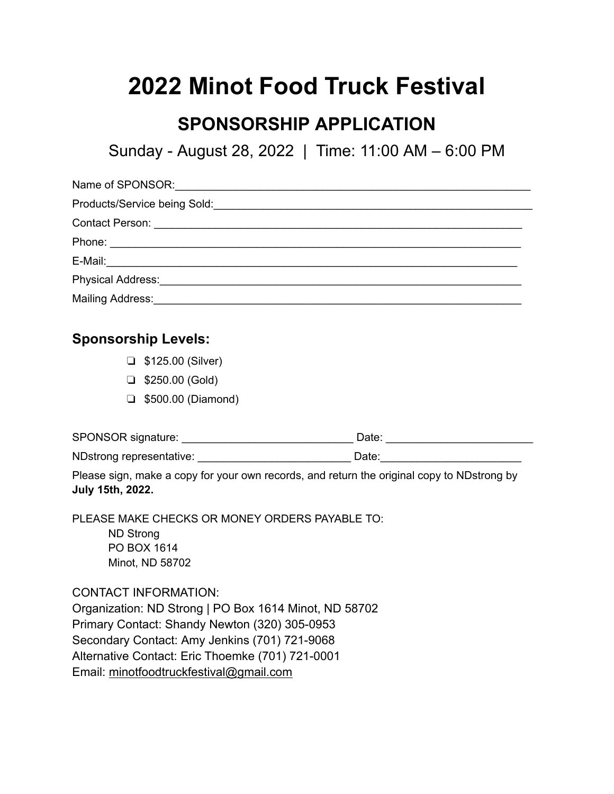# **2022 Minot Food Truck Festival**

## **SPONSORSHIP APPLICATION**

Sunday - August 28, 2022 | Time: 11:00 AM – 6:00 PM

| Contact Person: <u>Contact Person: Contact Person: Contact Person: Contact Person: Contact Person: Contact Person: Contact Person: Contact Person: Contact Person: Contact Person: Contact Person: Contact Person: Contact Perso</u> |  |
|--------------------------------------------------------------------------------------------------------------------------------------------------------------------------------------------------------------------------------------|--|
|                                                                                                                                                                                                                                      |  |
|                                                                                                                                                                                                                                      |  |
|                                                                                                                                                                                                                                      |  |
| Mailing Address: Mail and Mailing Address: Mail and Mail and Mail and Mail and Mail and Mail and Mail and Mail                                                                                                                       |  |

#### **Sponsorship Levels:**

- ❏ \$125.00 (Silver)
- ❏ \$250.00 (Gold)
- ❏ \$500.00 (Diamond)

SPONSOR signature: \_\_\_\_\_\_\_\_\_\_\_\_\_\_\_\_\_\_\_\_\_\_\_\_\_\_\_\_ Date: \_\_\_\_\_\_\_\_\_\_\_\_\_\_\_\_\_\_\_\_\_\_\_\_

NDstrong representative: example and the Date: example and Date:

Please sign, make a copy for your own records, and return the original copy to NDstrong by **July 15th, 2022.**

PLEASE MAKE CHECKS OR MONEY ORDERS PAYABLE TO: ND Strong PO BOX 1614 Minot, ND 58702

CONTACT INFORMATION: Organization: ND Strong | PO Box 1614 Minot, ND 58702 Primary Contact: Shandy Newton (320) 305-0953 Secondary Contact: Amy Jenkins (701) 721-9068 Alternative Contact: Eric Thoemke (701) 721-0001 Email: [minotfoodtruckfestival@gmail.com](mailto:minotfoodtruckfestival@gmail.com)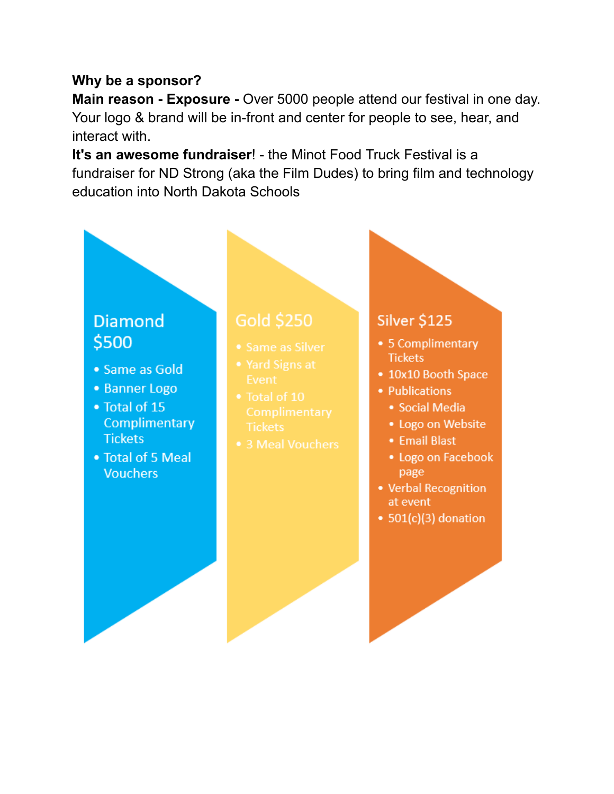### Why be a sponsor?

Main reason - Exposure - Over 5000 people attend our festival in one day. Your logo & brand will be in-front and center for people to see, hear, and interact with.

It's an awesome fundraiser! - the Minot Food Truck Festival is a fundraiser for ND Strong (aka the Film Dudes) to bring film and technology education into North Dakota Schools

## **Diamond** \$500

- Same as Gold
- Banner Logo
- Total of 15 **Complimentary Tickets**
- Total of 5 Meal **Vouchers**

- 
- 
- 
- 3 Meal Vouchers

## Silver \$125

- 5 Complimentary **Tickets**
- 10x10 Booth Space
- Publications
	- Social Media
	- Logo on Website
	- Email Blast
	- Logo on Facebook page
- Verbal Recognition at event
- $\bullet$  501(c)(3) donation